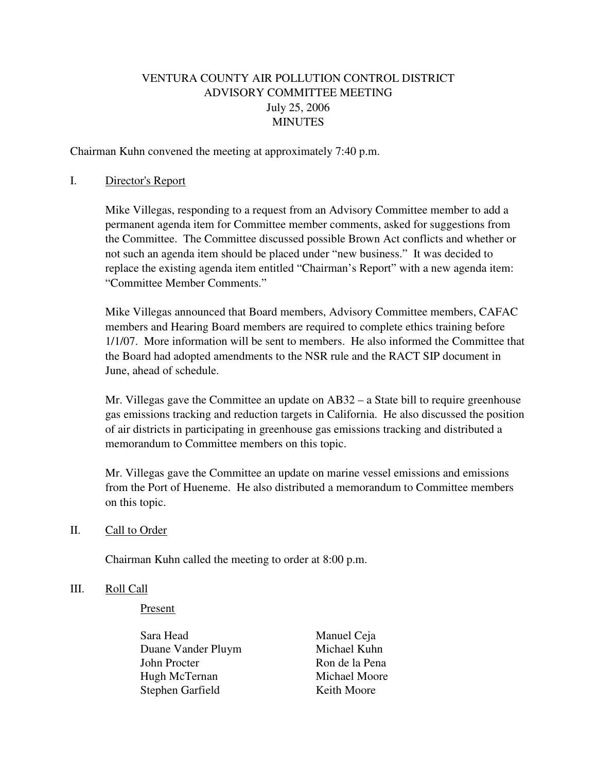# VENTURA COUNTY AIR POLLUTION CONTROL DISTRICT ADVISORY COMMITTEE MEETING July 25, 2006 **MINUTES**

Chairman Kuhn convened the meeting at approximately 7:40 p.m.

#### I. Director's Report

 Mike Villegas, responding to a request from an Advisory Committee member to add a permanent agenda item for Committee member comments, asked for suggestions from the Committee. The Committee discussed possible Brown Act conflicts and whether or not such an agenda item should be placed under "new business." It was decided to replace the existing agenda item entitled "Chairman's Report" with a new agenda item: "Committee Member Comments."

 Mike Villegas announced that Board members, Advisory Committee members, CAFAC members and Hearing Board members are required to complete ethics training before 1/1/07. More information will be sent to members. He also informed the Committee that the Board had adopted amendments to the NSR rule and the RACT SIP document in June, ahead of schedule.

 Mr. Villegas gave the Committee an update on AB32 – a State bill to require greenhouse gas emissions tracking and reduction targets in California. He also discussed the position of air districts in participating in greenhouse gas emissions tracking and distributed a memorandum to Committee members on this topic.

 Mr. Villegas gave the Committee an update on marine vessel emissions and emissions from the Port of Hueneme. He also distributed a memorandum to Committee members on this topic.

### II. Call to Order

Chairman Kuhn called the meeting to order at 8:00 p.m.

#### III. Roll Call

#### Present

Sara Head Manuel Ceja Duane Vander Pluym Michael Kuhn John Procter Ron de la Pena Hugh McTernan Michael Moore Stephen Garfield Keith Moore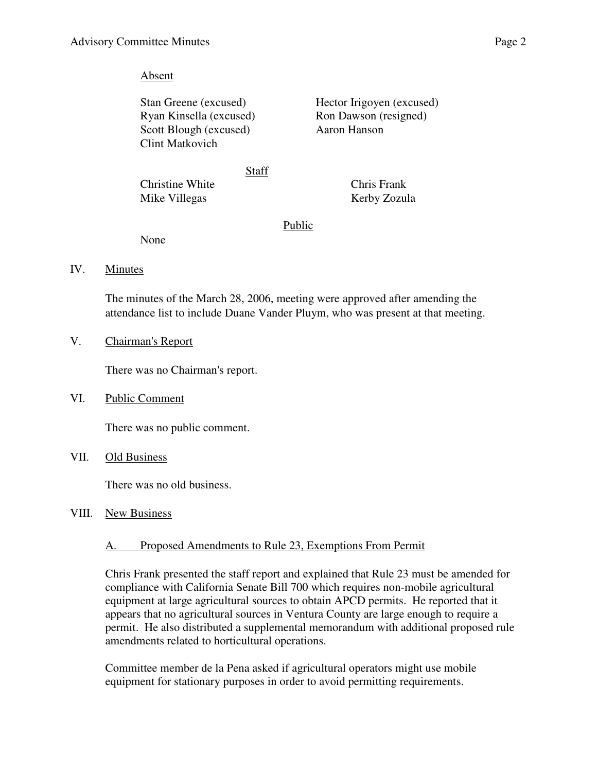### Absent

Ryan Kinsella (excused) Ron Dawson (resigned) Scott Blough (excused) Aaron Hanson Clint Matkovich

Stan Greene (excused) Hector Irigoyen (excused)

Staff

Christine White Chris Frank Mike Villegas Kerby Zozula

## Public

None

IV. Minutes

 The minutes of the March 28, 2006, meeting were approved after amending the attendance list to include Duane Vander Pluym, who was present at that meeting.

V. Chairman's Report

There was no Chairman's report.

VI. Public Comment

There was no public comment.

VII. Old Business

There was no old business.

VIII. New Business

# A. Proposed Amendments to Rule 23, Exemptions From Permit

Chris Frank presented the staff report and explained that Rule 23 must be amended for compliance with California Senate Bill 700 which requires non-mobile agricultural equipment at large agricultural sources to obtain APCD permits. He reported that it appears that no agricultural sources in Ventura County are large enough to require a permit. He also distributed a supplemental memorandum with additional proposed rule amendments related to horticultural operations.

Committee member de la Pena asked if agricultural operators might use mobile equipment for stationary purposes in order to avoid permitting requirements.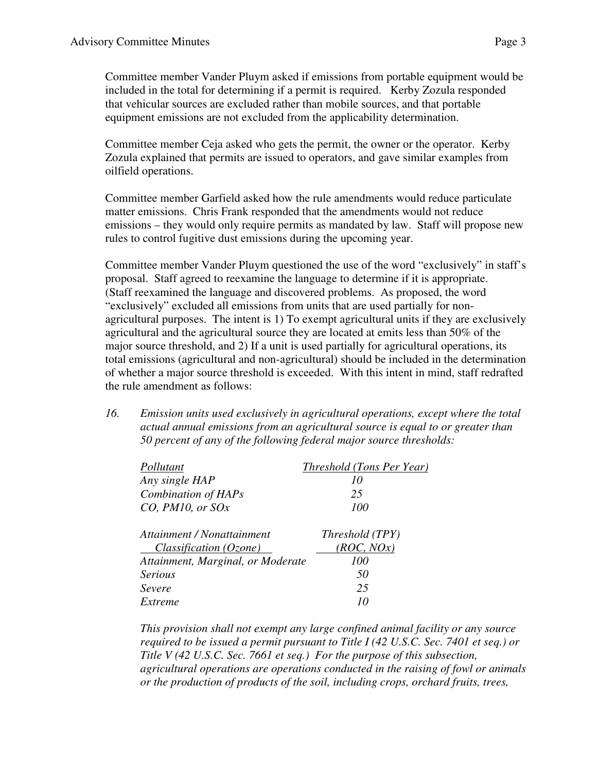Committee member Vander Pluym asked if emissions from portable equipment would be included in the total for determining if a permit is required. Kerby Zozula responded that vehicular sources are excluded rather than mobile sources, and that portable equipment emissions are not excluded from the applicability determination.

Committee member Ceja asked who gets the permit, the owner or the operator. Kerby Zozula explained that permits are issued to operators, and gave similar examples from oilfield operations.

Committee member Garfield asked how the rule amendments would reduce particulate matter emissions. Chris Frank responded that the amendments would not reduce emissions – they would only require permits as mandated by law. Staff will propose new rules to control fugitive dust emissions during the upcoming year.

Committee member Vander Pluym questioned the use of the word "exclusively" in staff's proposal. Staff agreed to reexamine the language to determine if it is appropriate. (Staff reexamined the language and discovered problems. As proposed, the word "exclusively" excluded all emissions from units that are used partially for nonagricultural purposes. The intent is 1) To exempt agricultural units if they are exclusively agricultural and the agricultural source they are located at emits less than 50% of the major source threshold, and 2) If a unit is used partially for agricultural operations, its total emissions (agricultural and non-agricultural) should be included in the determination of whether a major source threshold is exceeded. With this intent in mind, staff redrafted the rule amendment as follows:

*16. Emission units used exclusively in agricultural operations, except where the total actual annual emissions from an agricultural source is equal to or greater than 50 percent of any of the following federal major source thresholds:* 

| Pollutant                         | Threshold (Tons Per Year) |
|-----------------------------------|---------------------------|
| Any single HAP                    | 10                        |
| Combination of HAPs               | 25                        |
| CO, PM10, or SOx                  | 100                       |
| Attainment / Nonattainment        | Threshold (TPY)           |
| Classification (Ozone)            | (ROC, NOx)                |
| Attainment, Marginal, or Moderate | <i>100</i>                |
| <b>Serious</b>                    | 50                        |
| Severe                            | 25                        |
| Extreme                           |                           |

*This provision shall not exempt any large confined animal facility or any source required to be issued a permit pursuant to Title I (42 U.S.C. Sec. 7401 et seq.) or Title V (42 U.S.C. Sec. 7661 et seq.) For the purpose of this subsection, agricultural operations are operations conducted in the raising of fowl or animals or the production of products of the soil, including crops, orchard fruits, trees,*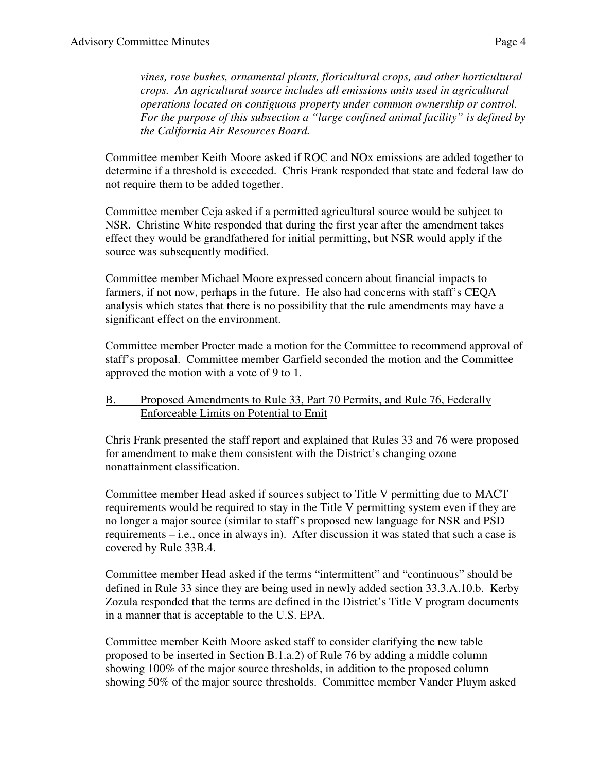*vines, rose bushes, ornamental plants, floricultural crops, and other horticultural crops. An agricultural source includes all emissions units used in agricultural operations located on contiguous property under common ownership or control. For the purpose of this subsection a "large confined animal facility" is defined by the California Air Resources Board.* 

Committee member Keith Moore asked if ROC and NOx emissions are added together to determine if a threshold is exceeded. Chris Frank responded that state and federal law do not require them to be added together.

Committee member Ceja asked if a permitted agricultural source would be subject to NSR. Christine White responded that during the first year after the amendment takes effect they would be grandfathered for initial permitting, but NSR would apply if the source was subsequently modified.

Committee member Michael Moore expressed concern about financial impacts to farmers, if not now, perhaps in the future. He also had concerns with staff's CEQA analysis which states that there is no possibility that the rule amendments may have a significant effect on the environment.

Committee member Procter made a motion for the Committee to recommend approval of staff's proposal. Committee member Garfield seconded the motion and the Committee approved the motion with a vote of 9 to 1.

### B. Proposed Amendments to Rule 33, Part 70 Permits, and Rule 76, Federally Enforceable Limits on Potential to Emit

Chris Frank presented the staff report and explained that Rules 33 and 76 were proposed for amendment to make them consistent with the District's changing ozone nonattainment classification.

Committee member Head asked if sources subject to Title V permitting due to MACT requirements would be required to stay in the Title V permitting system even if they are no longer a major source (similar to staff's proposed new language for NSR and PSD requirements – i.e., once in always in). After discussion it was stated that such a case is covered by Rule 33B.4.

Committee member Head asked if the terms "intermittent" and "continuous" should be defined in Rule 33 since they are being used in newly added section 33.3.A.10.b. Kerby Zozula responded that the terms are defined in the District's Title V program documents in a manner that is acceptable to the U.S. EPA.

Committee member Keith Moore asked staff to consider clarifying the new table proposed to be inserted in Section B.1.a.2) of Rule 76 by adding a middle column showing 100% of the major source thresholds, in addition to the proposed column showing 50% of the major source thresholds. Committee member Vander Pluym asked